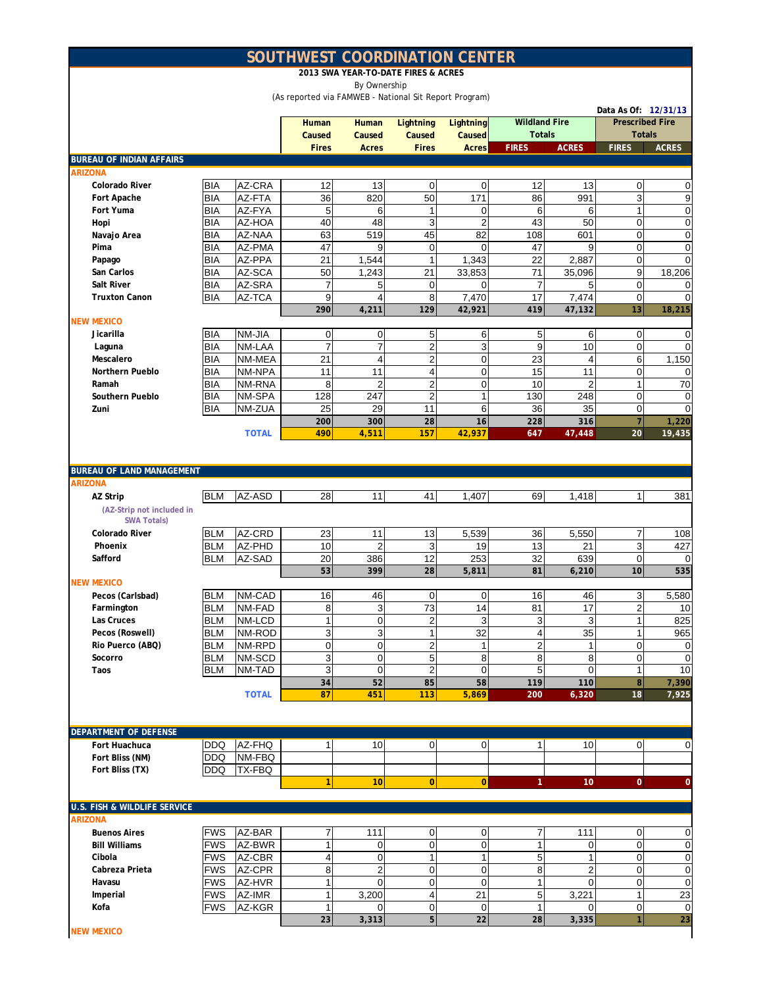## **SOUTHWEST COORDINATION CENTER**

**2013 SWA YEAR-TO-DATE FIRES & ACRES**

By Ownership

(As reported via FAMWEB - National Sit Report Program)

|                                                 |            |              |              |                  |                         |                  |                      |                | Data As Of: 12/31/13   |                |
|-------------------------------------------------|------------|--------------|--------------|------------------|-------------------------|------------------|----------------------|----------------|------------------------|----------------|
|                                                 |            |              | <b>Human</b> | Human            | Lightning               | <b>Lightning</b> | <b>Wildland Fire</b> |                | <b>Prescribed Fire</b> |                |
|                                                 |            |              | Caused       | Caused           | Caused                  | Caused           | <b>Totals</b>        |                | <b>Totals</b>          |                |
|                                                 |            |              | <b>Fires</b> | <b>Acres</b>     | <b>Fires</b>            | <b>Acres</b>     | <b>FIRES</b>         | <b>ACRES</b>   | <b>FIRES</b>           | <b>ACRES</b>   |
| <b>BUREAU OF INDIAN AFFAIRS</b>                 |            |              |              |                  |                         |                  |                      |                |                        |                |
| <b>ARIZONA</b>                                  |            |              |              |                  |                         |                  |                      |                |                        |                |
| Colorado River                                  | <b>BIA</b> | AZ-CRA       | 12           | 13               | $\mathbf 0$             | $\mathbf 0$      | 12                   | 13             | $\boldsymbol{0}$       | 0              |
| Fort Apache                                     | BIA        | AZ-FTA       | 36           | 820              | 50                      | 171              | 86                   | 991            | 3                      | 9              |
| Fort Yuma                                       | BIA        | AZ-FYA       | 5            | 6                | 1                       | $\mathbf 0$      | 6                    | 6              | $\mathbf{1}$           | 0              |
| Hopi                                            | <b>BIA</b> | AZ-HOA       | 40           | 48               | 3                       | $\overline{c}$   | 43                   | 50             | $\mathbf 0$            | $\pmb{0}$      |
| Navajo Area                                     | BIA        | AZ-NAA       | 63           | 519              | 45                      | 82               | 108                  | 601            | $\mathbf 0$            | $\mathbf 0$    |
| Pima                                            | BIA        | AZ-PMA       | 47           | 9                | 0                       | 0                | 47                   | 9              | 0                      | $\mathbf 0$    |
| Papago                                          | BIA        | AZ-PPA       | 21           | 1,544            | $\mathbf{1}$            | 1,343            | 22                   | 2,887          | $\mathbf 0$            | $\mathbf 0$    |
| San Carlos                                      | <b>BIA</b> | AZ-SCA       | 50           | 1,243            | 21                      | 33,853           | 71                   | 35,096         | 9                      | 18,206         |
| Salt River                                      | BIA        | AZ-SRA       | 7            | 5                | 0                       | 0                | $\overline{7}$       | 5              | $\mathbf 0$            | 0              |
| <b>Truxton Canon</b>                            | BIA        | AZ-TCA       | 9            | $\overline{4}$   | 8                       | 7,470            | 17                   | 7,474          | $\pmb{0}$              | $\Omega$       |
|                                                 |            |              | 290          | 4,211            | 129                     | 42,921           | 419                  | 47,132         | 13                     | 18,215         |
| <b>NEW MEXICO</b>                               |            |              |              |                  |                         |                  |                      |                |                        |                |
| Jicarilla                                       | <b>BIA</b> | NM-JIA       | $\mathbf 0$  | 0                | 5                       | 6                | 5                    | 6              | $\mathbf 0$            | $\Omega$       |
| Laguna                                          | <b>BIA</b> | NM-LAA       | 7            | $\overline{7}$   | $\overline{\mathbf{c}}$ | 3                | 9                    | 10             | $\mathsf{O}\xspace$    | $\Omega$       |
| Mescalero                                       | BIA        | NM-MEA       | 21           | 4                | $\overline{c}$          | $\mathbf 0$      | 23                   | $\overline{4}$ | 6                      | 1,150          |
| Northern Pueblo                                 | BIA        | NM-NPA       | 11           | 11               | 4                       | 0                | 15                   | 11             | $\mathbf 0$            | $\Omega$       |
| Ramah                                           | BIA        | NM-RNA       | 8            | $\overline{2}$   | $\overline{\mathbf{c}}$ | 0                | 10                   | $\overline{2}$ | 1                      | 70             |
| Southern Pueblo                                 | BIA        | NM-SPA       | 128          | 247              | $\mathbf 2$             | 1                | 130                  | 248            | $\mathbf 0$            | $\mathbf 0$    |
| Zuni                                            | BIA        | NM-ZUA       | 25           | 29               | 11                      | 6                | 36                   | 35             | 0                      | $\mathbf 0$    |
|                                                 |            |              | 200          | 300              | 28                      | 16               | 228                  | 316            | $\overline{7}$         | 1,220          |
|                                                 |            | <b>TOTAL</b> | 490          | 4,511            | 157                     | 42,937           | 647                  | 47,448         | 20                     | 19,435         |
|                                                 |            |              |              |                  |                         |                  |                      |                |                        |                |
| <b>BUREAU OF LAND MANAGEMENT</b>                |            |              |              |                  |                         |                  |                      |                |                        |                |
| <b>ARIZONA</b>                                  |            |              |              |                  |                         |                  |                      |                |                        |                |
|                                                 | <b>BLM</b> | AZ-ASD       | 28           | 11               |                         |                  | 69                   |                | $\mathbf{1}$           | 381            |
| AZ Strip                                        |            |              |              |                  | 41                      | 1,407            |                      | 1,418          |                        |                |
| (AZ-Strip not included in<br><b>SWA Totals)</b> |            |              |              |                  |                         |                  |                      |                |                        |                |
| <b>Colorado River</b>                           | <b>BLM</b> | AZ-CRD       | 23           | 11               | 13                      | 5,539            | 36                   | 5,550          | 7                      | 108            |
| Phoenix                                         | <b>BLM</b> | AZ-PHD       | 10           | $\overline{2}$   | 3                       | 19               | 13                   | 21             | 3                      | 427            |
| Safford                                         | <b>BLM</b> | AZ-SAD       | 20           | 386              | 12                      | 253              | 32                   | 639            | $\mathbf 0$            | $\Omega$       |
|                                                 |            |              | 53           | 399              | 28                      | 5,811            | 81                   | 6,210          | 10                     | 535            |
| <b>NEW MEXICO</b>                               |            |              |              |                  |                         |                  |                      |                |                        |                |
| Pecos (Carlsbad)                                | <b>BLM</b> | NM-CAD       | 16           | 46               | $\mathbf 0$             | $\mathbf 0$      | 16                   | 46             | 3                      | 5,580          |
| Farmington                                      | <b>BLM</b> | NM-FAD       | 8            | 3                | 73                      | 14               | 81                   | 17             | 2                      | 10             |
| Las Cruces                                      | <b>BLM</b> | NM-LCD       | 1            | $\mathbf 0$      | $\mathbf 2$             | 3                | 3                    | 3              | $\mathbf{1}$           | 825            |
| Pecos (Roswell)                                 | <b>BLM</b> | NM-ROD       | 3            | 3                | $\mathbf{1}$            | 32               | $\overline{4}$       | 35             | $\mathbf{1}$           | 965            |
| Rio Puerco (ABQ)                                | <b>BLM</b> | NM-RPD       | 0            | $\boldsymbol{0}$ | $\overline{c}$          | 1                | $\overline{c}$       | $\mathbf{1}$   | 0                      | 0              |
| Socorro                                         | <b>BLM</b> | NM-SCD       | 3            | $\overline{0}$   | 5                       | 8                | 8                    | 8              | $\mathbf 0$            | $\overline{0}$ |
| Taos                                            | <b>BLM</b> | NM-TAD       | 3            | $\mathbf 0$      | $\boldsymbol{2}$        | $\mathbf 0$      | 5                    | $\overline{0}$ | $\mathbf{1}$           | 10             |
|                                                 |            |              | 34           | 52               | 85                      | 58               | 119                  | 110            | 8                      | 7,390          |
|                                                 |            | <b>TOTAL</b> | 87           | 451              | 113                     | 5,869            | 200                  | 6,320          | $18\,$                 | 7,925          |
|                                                 |            |              |              |                  |                         |                  |                      |                |                        |                |
|                                                 |            |              |              |                  |                         |                  |                      |                |                        |                |
| <b>DEPARTMENT OF DEFENSE</b>                    |            |              |              |                  |                         |                  |                      |                |                        |                |
| Fort Huachuca                                   | <b>DDQ</b> | AZ-FHQ       | 1            | 10               | $\overline{0}$          | $\overline{0}$   | 1 <sup>1</sup>       | 10             | $\overline{0}$         | $\overline{0}$ |
| Fort Bliss (NM)                                 | <b>DDQ</b> | NM-FBQ       |              |                  |                         |                  |                      |                |                        |                |
| Fort Bliss (TX)                                 | <b>DDQ</b> | TX-FBQ       |              |                  |                         |                  |                      |                |                        |                |
|                                                 |            |              | $\mathbf{1}$ | 10               | $\mathbf{0}$            | $\overline{0}$   | $\mathbf{1}$         | 10             | $\overline{0}$         | $\overline{0}$ |
|                                                 |            |              |              |                  |                         |                  |                      |                |                        |                |
| <b>U.S. FISH &amp; WILDLIFE SERVICE</b>         |            |              |              |                  |                         |                  |                      |                |                        |                |
| <b>ARIZONA</b>                                  |            |              |              |                  |                         |                  |                      |                |                        |                |
| <b>Buenos Aires</b>                             | <b>FWS</b> | AZ-BAR       | 7            | 111              | $\mathbf 0$             | $\mathbf 0$      | 7                    | 111            | $\pmb{0}$              | 0              |
| <b>Bill Williams</b>                            | <b>FWS</b> | AZ-BWR       | 1            | $\pmb{0}$        | $\mathbf 0$             | $\boldsymbol{0}$ | $\mathbf{1}$         | $\overline{0}$ | $\mathsf 0$            | $\mathbf 0$    |
| Cibola                                          | <b>FWS</b> | AZ-CBR       | 4            | $\mathbf 0$      | 1                       | 1                | 5                    | $\mathbf{1}$   | $\mathbf 0$            | $\pmb{0}$      |
| Cabreza Prieta                                  | <b>FWS</b> | AZ-CPR       | 8            | $\overline{c}$   | $\mathbf 0$             | $\mathbf 0$      | 8                    | $\overline{2}$ | $\mathbf 0$            | $\pmb{0}$      |
| Havasu                                          | <b>FWS</b> | AZ-HVR       | 1            | $\mathbf 0$      | $\mathbf 0$             | $\mathbf 0$      | $\mathbf{1}$         | $\overline{0}$ | $\mathbf 0$            | $\mathbf 0$    |
| Imperial                                        | <b>FWS</b> | AZ-IMR       | 1            | 3,200            | 4                       | $\overline{21}$  | 5                    | 3,221          | $\mathbf{1}$           | 23             |
| Kofa                                            | <b>FWS</b> | AZ-KGR       | 1            | 0                | $\mathbf 0$             | $\mathbf 0$      | 1                    | $\overline{0}$ | $\pmb{0}$              | $\mathbf 0$    |
|                                                 |            |              | 23           | 3,313            | $5\overline{)}$         | $\overline{22}$  | 28                   | 3,335          | $\mathbf{1}$           | 23             |
| <b>NEW MEXICO</b>                               |            |              |              |                  |                         |                  |                      |                |                        |                |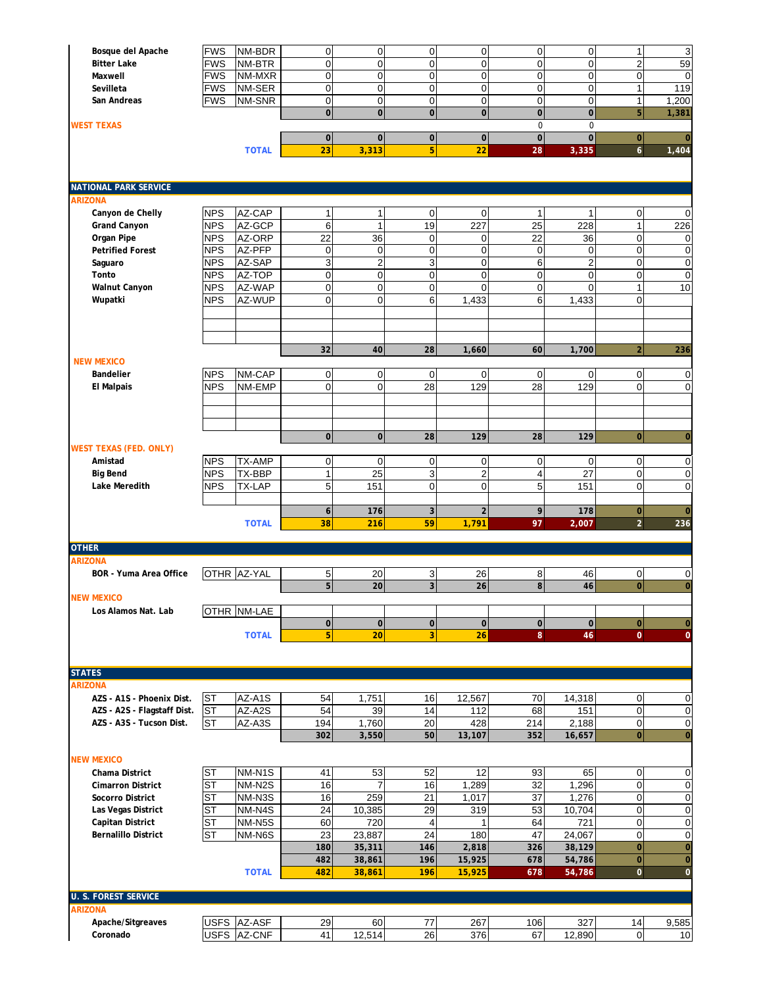| Bosque del Apache                             | <b>FWS</b> | NM-BDR        | $\overline{0}$   | $\mathbf 0$             | $\overline{0}$ | $\overline{0}$                | 0                   | $\overline{0}$ | $\mathbf{1}$     | 3              |
|-----------------------------------------------|------------|---------------|------------------|-------------------------|----------------|-------------------------------|---------------------|----------------|------------------|----------------|
| <b>Bitter Lake</b>                            | <b>FWS</b> | NM-BTR        | $\mathbf 0$      | $\mathbf 0$             | $\mathbf 0$    | $\mathbf 0$                   | $\overline{0}$      | $\mathbf 0$    | $\overline{c}$   | 59             |
| Maxwell                                       | <b>FWS</b> | NM-MXR        | $\mathbf 0$      | $\mathbf 0$             | $\mathbf 0$    | $\mathbf 0$                   | $\mathbf 0$         | $\mathbf 0$    | $\mathbf 0$      | $\mathbf 0$    |
| Sevilleta                                     | <b>FWS</b> | NM-SER        | $\overline{0}$   | $\mathbf 0$             | $\mathbf 0$    | $\overline{0}$                | $\mathbf 0$         | $\mathbf 0$    | $\mathbf{1}$     | 119            |
| San Andreas                                   | FWS        | NM-SNR        | $\overline{0}$   | $\mathbf 0$             | $\mathbf 0$    | $\mathbf 0$                   | 0                   | $\mathbf 0$    | 1                | 1,200          |
|                                               |            |               | $\mathbf{O}$     | $\overline{0}$          | $\mathbf 0$    | $\mathbf 0$                   | $\mathbf 0$         | $\mathbf 0$    | 5                | 1,381          |
| <b>WEST TEXAS</b>                             |            |               |                  |                         |                |                               | $\mathbf 0$         | $\mathbf 0$    |                  |                |
|                                               |            |               | $\mathbf{0}$     | $\mathbf 0$             | $\mathbf 0$    | $\pmb{0}$                     | $\mathbf 0$         | $\mathbf 0$    | $\mathbf{O}$     | $\overline{0}$ |
|                                               |            | <b>TOTAL</b>  | 23               | 3,313                   | 5              | 22                            | 28                  | 3,335          | $\mathbf{6}$     | 1,404          |
|                                               |            |               |                  |                         |                |                               |                     |                |                  |                |
| <b>NATIONAL PARK SERVICE</b>                  |            |               |                  |                         |                |                               |                     |                |                  |                |
| <b>ARIZONA</b>                                |            |               |                  |                         |                |                               |                     |                |                  |                |
| Canyon de Chelly                              | <b>NPS</b> | AZ-CAP        | $\mathbf{1}$     | 1                       | 0              | $\mathbf 0$                   | 1                   |                | $\pmb{0}$        | $\mathbf 0$    |
| <b>Grand Canyon</b>                           | <b>NPS</b> | AZ-GCP        | 6                | $\mathbf{1}$            | 19             | 227                           | $\overline{25}$     | 228            | $\mathbf{1}$     | 226            |
| Organ Pipe                                    | <b>NPS</b> | AZ-ORP        | 22               | 36                      | $\mathbf 0$    | $\mathbf 0$                   | 22                  | 36             | $\mathbf 0$      | $\mathbf 0$    |
| <b>Petrified Forest</b>                       | <b>NPS</b> | AZ-PFP        | $\mathbf 0$      | $\mathbf 0$             | $\mathbf 0$    | $\overline{0}$                | $\mathbf 0$         | $\mathbf 0$    | 0                | $\mathbf 0$    |
|                                               |            | AZ-SAP        | 3                |                         | 3              |                               |                     | $\overline{2}$ | $\mathbf 0$      |                |
| Saguaro                                       | NPS        |               | $\overline{0}$   | $\overline{\mathbf{c}}$ |                | $\mathbf 0$<br>$\overline{0}$ | 6<br>$\overline{0}$ |                |                  | $\mathbf 0$    |
| Tonto                                         | <b>NPS</b> | AZ-TOP        |                  | $\mathbf 0$             | $\mathbf 0$    |                               |                     | $\mathbf 0$    | $\mathbf 0$      | $\mathbf 0$    |
| <b>Walnut Canyon</b>                          | <b>NPS</b> | AZ-WAP        | $\mathbf{0}$     | $\mathbf 0$             | $\mathbf 0$    | $\mathbf 0$                   | $\mathbf 0$         | $\Omega$       | 1                | 10             |
| Wupatki                                       | NPS        | AZ-WUP        | $\mathbf 0$      | $\mathbf 0$             | 6              | 1,433                         | 6                   | 1,433          | $\overline{0}$   |                |
|                                               |            |               |                  |                         |                |                               |                     |                |                  |                |
|                                               |            |               |                  |                         |                |                               |                     |                |                  |                |
|                                               |            |               | 32               | 40                      | 28             | 1,660                         | 60                  | 1,700          | $\overline{2}$   | 236            |
| <b>NEW MEXICO</b>                             |            |               |                  |                         |                |                               |                     |                |                  |                |
| Bandelier                                     | <b>NPS</b> | NM-CAP        | $\overline{0}$   | $\mathbf 0$             | $\overline{0}$ | $\overline{0}$                | $\mathbf 0$         | $\overline{0}$ | $\mathbf 0$      | $\mathbf 0$    |
| <b>El Malpais</b>                             | <b>NPS</b> | NM-EMP        | $\overline{0}$   | $\mathbf 0$             | 28             | 129                           | 28                  | 129            | $\Omega$         | $\mathbf 0$    |
|                                               |            |               |                  |                         |                |                               |                     |                |                  |                |
|                                               |            |               |                  |                         |                |                               |                     |                |                  |                |
|                                               |            |               |                  |                         |                |                               |                     |                |                  |                |
|                                               |            |               | $\pmb{0}$        | $\mathbf 0$             | 28             | 129                           | 28                  | 129            | $\bf{0}$         | $\mathbf 0$    |
| <b>WEST TEXAS (FED. ONLY)</b>                 |            |               |                  |                         |                |                               |                     |                |                  |                |
| Amistad                                       | <b>NPS</b> | <b>TX-AMP</b> | $\overline{0}$   | $\mathbf 0$             | 0              | $\overline{0}$                | $\mathbf 0$         | 0              | $\mathbf 0$      | 0              |
| <b>Big Bend</b>                               | <b>NPS</b> | TX-BBP        | 1                | 25                      | 3              | 2                             | 4                   | 27             | $\pmb{0}$        | $\mathbf 0$    |
| Lake Meredith                                 | <b>NPS</b> | TX-LAP        | 5                | 151                     | $\mathbf 0$    | $\mathbf 0$                   | 5                   | 151            | $\overline{0}$   | $\mathbf 0$    |
|                                               |            |               |                  |                         |                |                               |                     |                |                  |                |
|                                               |            |               | $\boldsymbol{6}$ | 176                     | $\overline{3}$ | $\overline{2}$                | 9                   | 178            | $\mathbf 0$      | $\overline{0}$ |
|                                               |            | <b>TOTAL</b>  | 38               | 216                     | 59             | 1,791                         | 97                  | 2,007          | $\overline{2}$   | 236            |
| <b>OTHER</b>                                  |            |               |                  |                         |                |                               |                     |                |                  |                |
| <b>ARIZONA</b>                                |            |               |                  |                         |                |                               |                     |                |                  |                |
| BOR - Yuma Area Office                        |            | OTHR AZ-YAL   | 5                | 20                      | 3              | 26                            | 8                   | 46             | $\mathbf 0$      | 0              |
|                                               |            |               | $5\overline{)}$  | 20                      | 3 <sup>1</sup> | 26                            | 8                   | 46             | $\bf{0}$         | $\mathbf 0$    |
| <b>NEW MEXICO</b>                             |            |               |                  |                         |                |                               |                     |                |                  |                |
| Los Alamos Nat. Lab                           |            | OTHR NM-LAE   |                  |                         |                |                               |                     |                |                  |                |
|                                               |            |               | $\pmb{0}$        | $\mathbf 0$             | $\mathbf 0$    | $\mathbf 0$                   | $\mathbf 0$         | $\overline{0}$ | $\mathbf{O}$     | $\overline{0}$ |
|                                               |            | <b>TOTAL</b>  | 5 <sup>1</sup>   | 20                      | 3              | 26                            | 8                   | 46             | $\overline{0}$   | $\overline{0}$ |
|                                               |            |               |                  |                         |                |                               |                     |                |                  |                |
| <b>STATES</b>                                 |            |               |                  |                         |                |                               |                     |                |                  |                |
| <b>ARIZONA</b>                                |            |               |                  |                         |                |                               |                     |                |                  |                |
| AZS - A1S - Phoenix Dist.                     | <b>ST</b>  | AZ-A1S        | 54               | 1,751                   | 16             | 12,567                        | 70                  | 14,318         | $\overline{0}$   | 0              |
| AZS - A2S - Flagstaff Dist.                   | <b>ST</b>  | AZ-A2S        | 54               | 39                      | 14             | 112                           | 68                  | 151            | $\mathbf 0$      | $\mathbf 0$    |
| AZS - A3S - Tucson Dist.                      | <b>ST</b>  | AZ-A3S        | 194              | 1,760                   | 20             | 428                           | 214                 | 2,188          | $\mathbf 0$      | 0              |
|                                               |            |               | 302              | 3,550                   | 50             | 13,107                        | 352                 | 16,657         | $\mathbf 0$      | $\bf{0}$       |
|                                               |            |               |                  |                         |                |                               |                     |                |                  |                |
| <b>NEW MEXICO</b>                             |            |               |                  |                         |                |                               |                     |                |                  |                |
| Chama District                                | <b>ST</b>  | NM-N1S        | 41               | 53                      | 52             | 12                            | 93                  | 65             | $\mathbf 0$      | 0              |
| <b>Cimarron District</b>                      | <b>ST</b>  | NM-N2S        | 16               | $\overline{7}$          | 16             | 1,289                         | 32                  | 1,296          | $\mathbf 0$      | $\mathbf 0$    |
| Socorro District                              | ST         | NM-N3S        | 16               | 259                     | 21             | 1,017                         | 37                  | 1,276          | $\mathbf 0$      | 0              |
| Las Vegas District                            | SТ         | NM-N4S        | 24               | 10,385                  | 29             | 319                           | 53                  | 10,704         | $\pmb{0}$        | $\mathbf 0$    |
| Capitan District                              | SТ         | NM-N5S        | 60               | 720                     | $\overline{4}$ |                               | 64                  | 721            | $\mathbf 0$      | $\mathbf 0$    |
| <b>Bernalillo District</b>                    | <b>ST</b>  | NM-N6S        | 23               | 23,887                  | 24             | 180                           | 47                  | 24,067         | $\boldsymbol{0}$ | $\mathbf 0$    |
|                                               |            |               | 180              | 35,311                  | 146            | 2,818                         | 326                 | 38,129         | $\pmb{0}$        | $\mathbf{0}$   |
|                                               |            |               | 482              | 38,861                  | 196            | 15,925                        | 678                 | 54,786         | $\overline{0}$   | $\overline{0}$ |
|                                               |            | <b>TOTAL</b>  | 482              | 38,861                  | 196            | 15,925                        | 678                 | 54,786         | $\mathbf 0$      | $\mathbf 0$    |
|                                               |            |               |                  |                         |                |                               |                     |                |                  |                |
| <b>U. S. FOREST SERVICE</b><br><b>ARIZONA</b> |            |               |                  |                         |                |                               |                     |                |                  |                |
| Apache/Sitgreaves                             |            | USFS AZ-ASF   | 29               | 60                      | 77             | 267                           | 106                 | 327            | 14               | 9,585          |
| Coronado                                      |            | USFS AZ-CNF   | 41               | 12,514                  | 26             | 376                           | 67                  | 12,890         | $\mathbf 0$      | 10             |
|                                               |            |               |                  |                         |                |                               |                     |                |                  |                |